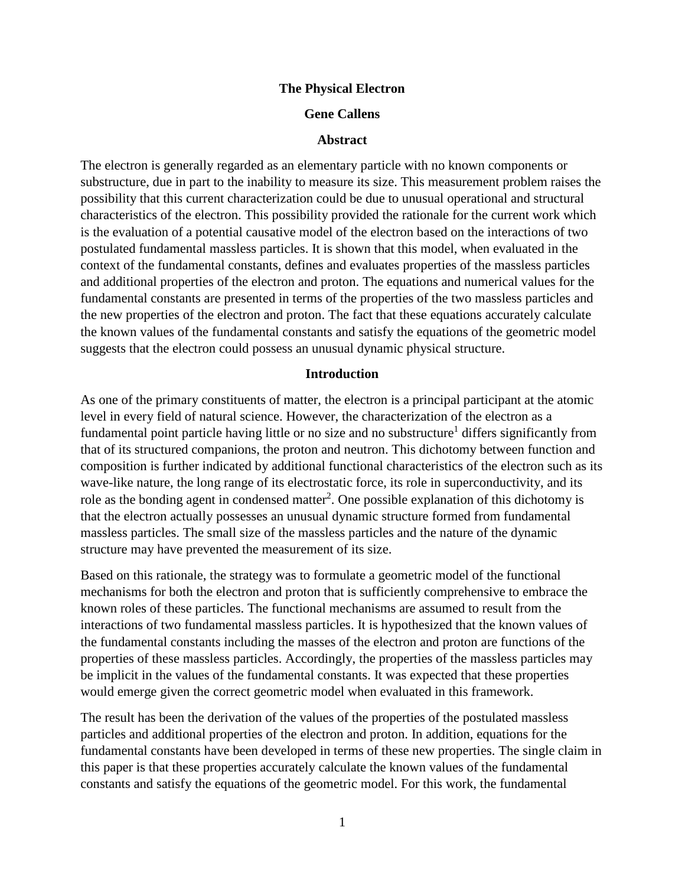### **The Physical Electron**

### **Gene Callens**

#### **Abstract**

The electron is generally regarded as an elementary particle with no known components or substructure, due in part to the inability to measure its size. This measurement problem raises the possibility that this current characterization could be due to unusual operational and structural characteristics of the electron. This possibility provided the rationale for the current work which is the evaluation of a potential causative model of the electron based on the interactions of two postulated fundamental massless particles. It is shown that this model, when evaluated in the context of the fundamental constants, defines and evaluates properties of the massless particles and additional properties of the electron and proton. The equations and numerical values for the fundamental constants are presented in terms of the properties of the two massless particles and the new properties of the electron and proton. The fact that these equations accurately calculate the known values of the fundamental constants and satisfy the equations of the geometric model suggests that the electron could possess an unusual dynamic physical structure.

#### **Introduction**

As one of the primary constituents of matter, the electron is a principal participant at the atomic level in every field of natural science. However, the characterization of the electron as a fundamental point particle having little or no size and no substructure<sup>1</sup> differs significantly from that of its structured companions, the proton and neutron. This dichotomy between function and composition is further indicated by additional functional characteristics of the electron such as its wave-like nature, the long range of its electrostatic force, its role in superconductivity, and its role as the bonding agent in condensed matter<sup>2</sup>. One possible explanation of this dichotomy is that the electron actually possesses an unusual dynamic structure formed from fundamental massless particles. The small size of the massless particles and the nature of the dynamic structure may have prevented the measurement of its size.

Based on this rationale, the strategy was to formulate a geometric model of the functional mechanisms for both the electron and proton that is sufficiently comprehensive to embrace the known roles of these particles. The functional mechanisms are assumed to result from the interactions of two fundamental massless particles. It is hypothesized that the known values of the fundamental constants including the masses of the electron and proton are functions of the properties of these massless particles. Accordingly, the properties of the massless particles may be implicit in the values of the fundamental constants. It was expected that these properties would emerge given the correct geometric model when evaluated in this framework.

The result has been the derivation of the values of the properties of the postulated massless particles and additional properties of the electron and proton. In addition, equations for the fundamental constants have been developed in terms of these new properties. The single claim in this paper is that these properties accurately calculate the known values of the fundamental constants and satisfy the equations of the geometric model. For this work, the fundamental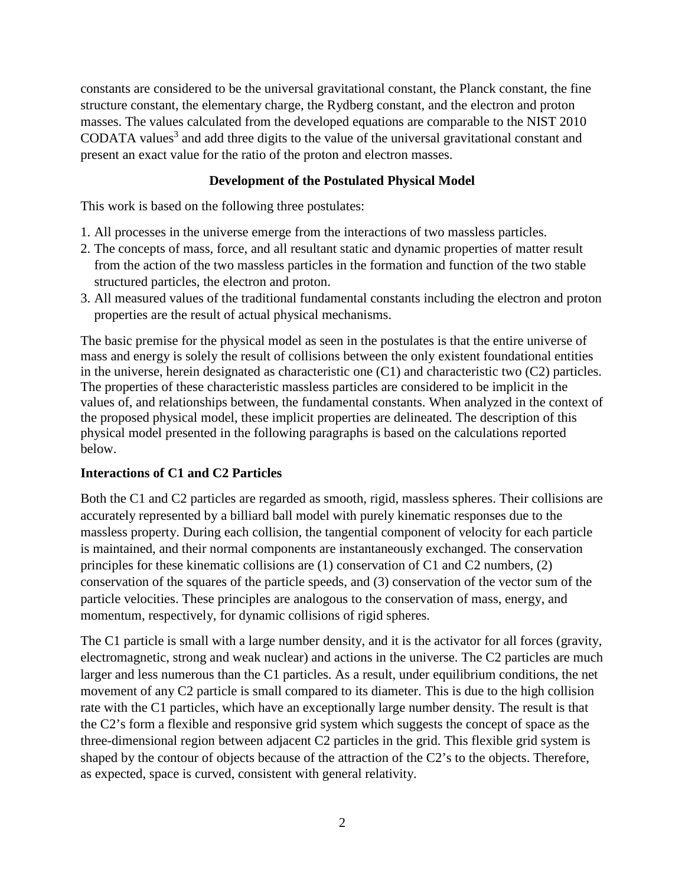constants are considered to be the universal gravitational constant, the Planck constant, the fine structure constant, the elementary charge, the Rydberg constant, and the electron and proton masses. The values calculated from the developed equations are comparable to the NIST 2010 CODATA values<sup>3</sup> and add three digits to the value of the universal gravitational constant and present an exact value for the ratio of the proton and electron masses.

# **Development of the Postulated Physical Model**

This work is based on the following three postulates:

- 1. All processes in the universe emerge from the interactions of two massless particles.
- 2. The concepts of mass, force, and all resultant static and dynamic properties of matter result from the action of the two massless particles in the formation and function of the two stable structured particles, the electron and proton.
- 3. All measured values of the traditional fundamental constants including the electron and proton properties are the result of actual physical mechanisms.

The basic premise for the physical model as seen in the postulates is that the entire universe of mass and energy is solely the result of collisions between the only existent foundational entities in the universe, herein designated as characteristic one (C1) and characteristic two (C2) particles. The properties of these characteristic massless particles are considered to be implicit in the values of, and relationships between, the fundamental constants. When analyzed in the context of the proposed physical model, these implicit properties are delineated. The description of this physical model presented in the following paragraphs is based on the calculations reported below.

# **Interactions of C1 and C2 Particles**

Both the C1 and C2 particles are regarded as smooth, rigid, massless spheres. Their collisions are accurately represented by a billiard ball model with purely kinematic responses due to the massless property. During each collision, the tangential component of velocity for each particle is maintained, and their normal components are instantaneously exchanged. The conservation principles for these kinematic collisions are (1) conservation of C1 and C2 numbers, (2) conservation of the squares of the particle speeds, and (3) conservation of the vector sum of the particle velocities. These principles are analogous to the conservation of mass, energy, and momentum, respectively, for dynamic collisions of rigid spheres.

The C1 particle is small with a large number density, and it is the activator for all forces (gravity, electromagnetic, strong and weak nuclear) and actions in the universe. The C2 particles are much larger and less numerous than the C1 particles. As a result, under equilibrium conditions, the net movement of any C2 particle is small compared to its diameter. This is due to the high collision rate with the C1 particles, which have an exceptionally large number density. The result is that the C2's form a flexible and responsive grid system which suggests the concept of space as the three-dimensional region between adjacent C2 particles in the grid. This flexible grid system is shaped by the contour of objects because of the attraction of the C2's to the objects. Therefore, as expected, space is curved, consistent with general relativity.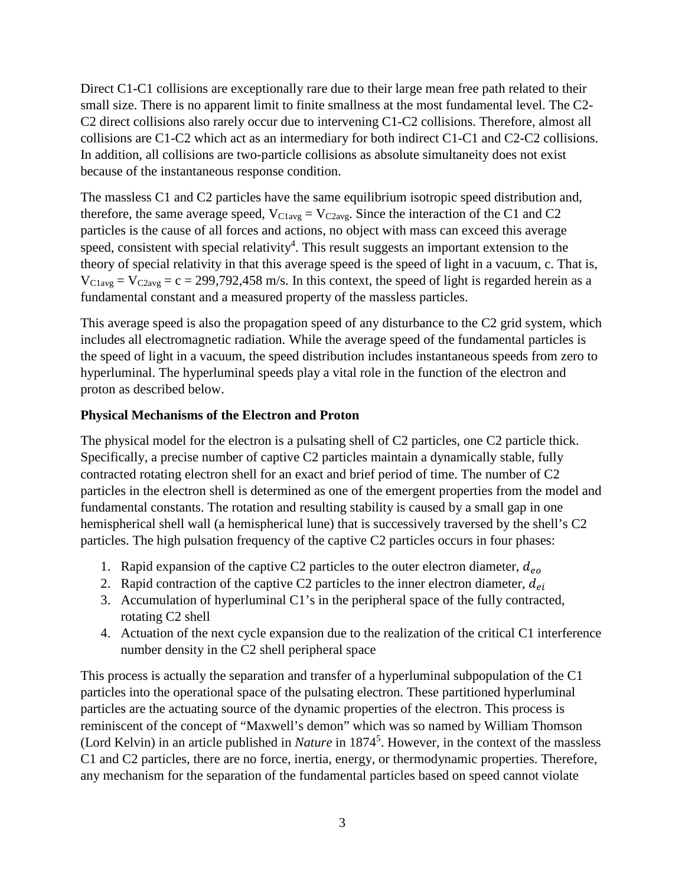Direct C1-C1 collisions are exceptionally rare due to their large mean free path related to their small size. There is no apparent limit to finite smallness at the most fundamental level. The C2- C2 direct collisions also rarely occur due to intervening C1-C2 collisions. Therefore, almost all collisions are C1-C2 which act as an intermediary for both indirect C1-C1 and C2-C2 collisions. In addition, all collisions are two-particle collisions as absolute simultaneity does not exist because of the instantaneous response condition.

The massless C1 and C2 particles have the same equilibrium isotropic speed distribution and, therefore, the same average speed,  $V_{\text{Clave}} = V_{\text{C2ave}}$ . Since the interaction of the C1 and C2 particles is the cause of all forces and actions, no object with mass can exceed this average speed, consistent with special relativity<sup>4</sup>. This result suggests an important extension to the theory of special relativity in that this average speed is the speed of light in a vacuum, c. That is,  $V_{\text{Clavg}} = V_{\text{C2avg}} = c = 299,792,458 \text{ m/s}$ . In this context, the speed of light is regarded herein as a fundamental constant and a measured property of the massless particles.

This average speed is also the propagation speed of any disturbance to the C2 grid system, which includes all electromagnetic radiation. While the average speed of the fundamental particles is the speed of light in a vacuum, the speed distribution includes instantaneous speeds from zero to hyperluminal. The hyperluminal speeds play a vital role in the function of the electron and proton as described below.

### **Physical Mechanisms of the Electron and Proton**

The physical model for the electron is a pulsating shell of C2 particles, one C2 particle thick. Specifically, a precise number of captive C2 particles maintain a dynamically stable, fully contracted rotating electron shell for an exact and brief period of time. The number of C2 particles in the electron shell is determined as one of the emergent properties from the model and fundamental constants. The rotation and resulting stability is caused by a small gap in one hemispherical shell wall (a hemispherical lune) that is successively traversed by the shell's C2 particles. The high pulsation frequency of the captive C2 particles occurs in four phases:

- 1. Rapid expansion of the captive C2 particles to the outer electron diameter,  $d_{eo}$
- 2. Rapid contraction of the captive C2 particles to the inner electron diameter,  $d_{ei}$
- 3. Accumulation of hyperluminal C1's in the peripheral space of the fully contracted, rotating C2 shell
- 4. Actuation of the next cycle expansion due to the realization of the critical C1 interference number density in the C2 shell peripheral space

This process is actually the separation and transfer of a hyperluminal subpopulation of the C1 particles into the operational space of the pulsating electron. These partitioned hyperluminal particles are the actuating source of the dynamic properties of the electron. This process is reminiscent of the concept of "Maxwell's demon" which was so named by William Thomson (Lord Kelvin) in an article published in *Nature* in 18745 . However, in the context of the massless C1 and C2 particles, there are no force, inertia, energy, or thermodynamic properties. Therefore, any mechanism for the separation of the fundamental particles based on speed cannot violate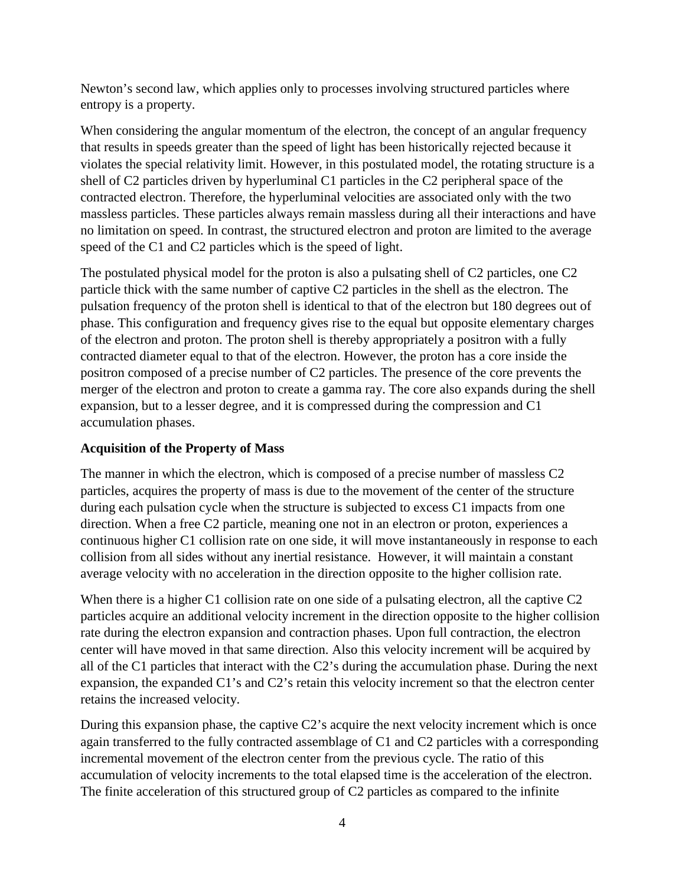Newton's second law, which applies only to processes involving structured particles where entropy is a property.

When considering the angular momentum of the electron, the concept of an angular frequency that results in speeds greater than the speed of light has been historically rejected because it violates the special relativity limit. However, in this postulated model, the rotating structure is a shell of C2 particles driven by hyperluminal C1 particles in the C2 peripheral space of the contracted electron. Therefore, the hyperluminal velocities are associated only with the two massless particles. These particles always remain massless during all their interactions and have no limitation on speed. In contrast, the structured electron and proton are limited to the average speed of the C1 and C2 particles which is the speed of light.

The postulated physical model for the proton is also a pulsating shell of C2 particles, one C2 particle thick with the same number of captive C2 particles in the shell as the electron. The pulsation frequency of the proton shell is identical to that of the electron but 180 degrees out of phase. This configuration and frequency gives rise to the equal but opposite elementary charges of the electron and proton. The proton shell is thereby appropriately a positron with a fully contracted diameter equal to that of the electron. However, the proton has a core inside the positron composed of a precise number of C2 particles. The presence of the core prevents the merger of the electron and proton to create a gamma ray. The core also expands during the shell expansion, but to a lesser degree, and it is compressed during the compression and C1 accumulation phases.

# **Acquisition of the Property of Mass**

The manner in which the electron, which is composed of a precise number of massless C2 particles, acquires the property of mass is due to the movement of the center of the structure during each pulsation cycle when the structure is subjected to excess C1 impacts from one direction. When a free C2 particle, meaning one not in an electron or proton, experiences a continuous higher C1 collision rate on one side, it will move instantaneously in response to each collision from all sides without any inertial resistance. However, it will maintain a constant average velocity with no acceleration in the direction opposite to the higher collision rate.

When there is a higher C1 collision rate on one side of a pulsating electron, all the captive C2 particles acquire an additional velocity increment in the direction opposite to the higher collision rate during the electron expansion and contraction phases. Upon full contraction, the electron center will have moved in that same direction. Also this velocity increment will be acquired by all of the C1 particles that interact with the C2's during the accumulation phase. During the next expansion, the expanded C1's and C2's retain this velocity increment so that the electron center retains the increased velocity.

During this expansion phase, the captive C2's acquire the next velocity increment which is once again transferred to the fully contracted assemblage of C1 and C2 particles with a corresponding incremental movement of the electron center from the previous cycle. The ratio of this accumulation of velocity increments to the total elapsed time is the acceleration of the electron. The finite acceleration of this structured group of C2 particles as compared to the infinite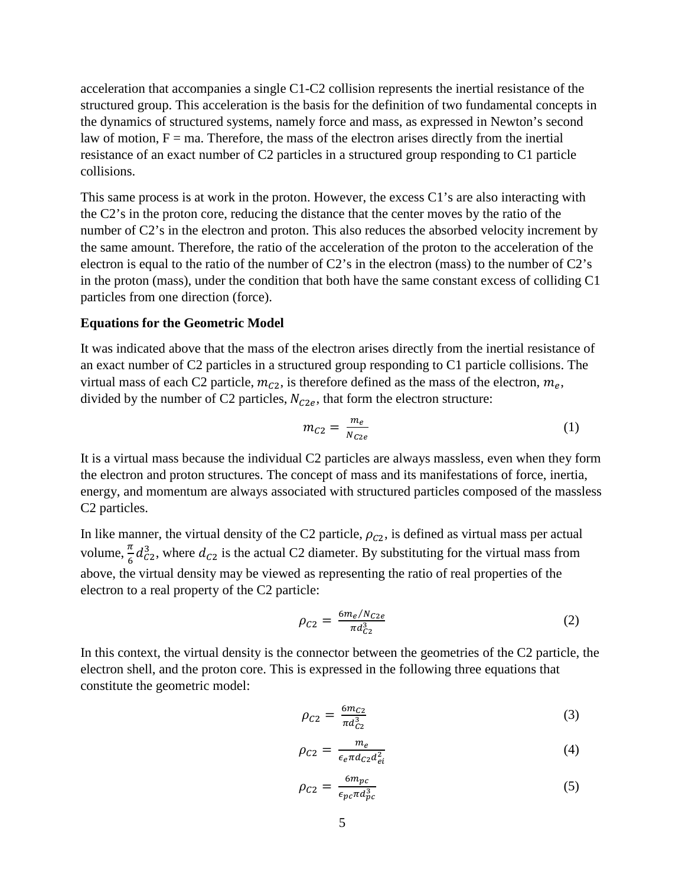acceleration that accompanies a single C1-C2 collision represents the inertial resistance of the structured group. This acceleration is the basis for the definition of two fundamental concepts in the dynamics of structured systems, namely force and mass, as expressed in Newton's second law of motion,  $F = ma$ . Therefore, the mass of the electron arises directly from the inertial resistance of an exact number of C2 particles in a structured group responding to C1 particle collisions.

This same process is at work in the proton. However, the excess C1's are also interacting with the C2's in the proton core, reducing the distance that the center moves by the ratio of the number of C2's in the electron and proton. This also reduces the absorbed velocity increment by the same amount. Therefore, the ratio of the acceleration of the proton to the acceleration of the electron is equal to the ratio of the number of C2's in the electron (mass) to the number of C2's in the proton (mass), under the condition that both have the same constant excess of colliding C1 particles from one direction (force).

#### **Equations for the Geometric Model**

It was indicated above that the mass of the electron arises directly from the inertial resistance of an exact number of C2 particles in a structured group responding to C1 particle collisions. The virtual mass of each C2 particle,  $m_{c2}$ , is therefore defined as the mass of the electron,  $m_e$ , divided by the number of C2 particles,  $N_{C2e}$ , that form the electron structure:

$$
m_{C2} = \frac{m_e}{N_{C2e}}\tag{1}
$$

It is a virtual mass because the individual C2 particles are always massless, even when they form the electron and proton structures. The concept of mass and its manifestations of force, inertia, energy, and momentum are always associated with structured particles composed of the massless C2 particles.

In like manner, the virtual density of the C2 particle,  $\rho_{c2}$ , is defined as virtual mass per actual volume,  $\frac{\pi}{6}$  $\frac{\pi}{6}d_{C2}^3$ , where  $d_{C2}$  is the actual C2 diameter. By substituting for the virtual mass from above, the virtual density may be viewed as representing the ratio of real properties of the electron to a real property of the C2 particle:

$$
\rho_{C2} = \frac{6m_e/N_{C2e}}{\pi d_{C2}^3}
$$
 (2)

In this context, the virtual density is the connector between the geometries of the C2 particle, the electron shell, and the proton core. This is expressed in the following three equations that constitute the geometric model:

$$
\rho_{C2} = \frac{6m_{C2}}{\pi d_{C2}^3} \tag{3}
$$

$$
\rho_{C2} = \frac{m_e}{\epsilon_e \pi d_{C2} d_{ei}^2} \tag{4}
$$

$$
\rho_{C2} = \frac{6m_{pc}}{\epsilon_{pc}\pi d_{pc}^3} \tag{5}
$$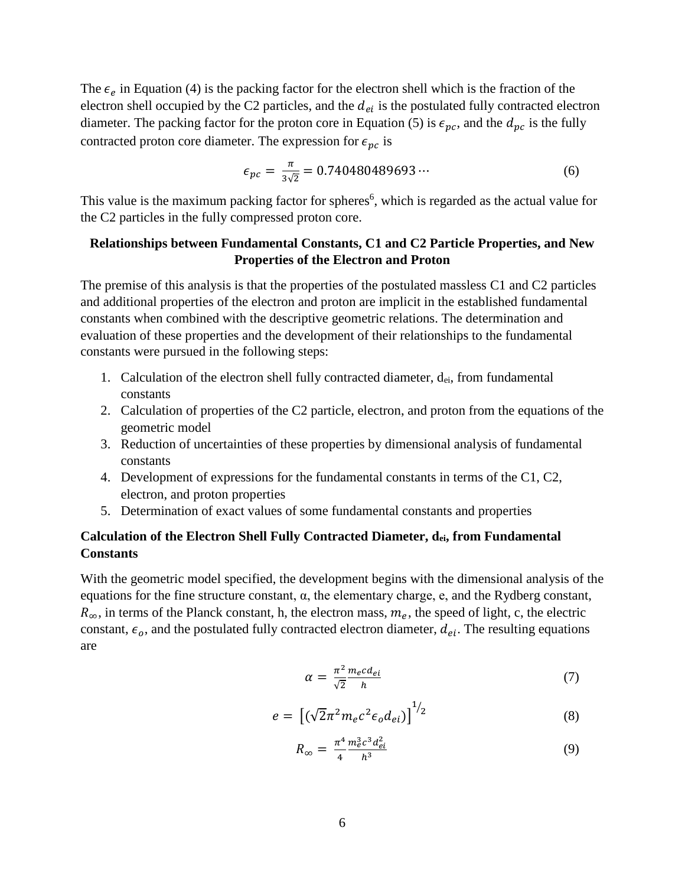The  $\epsilon_e$  in Equation (4) is the packing factor for the electron shell which is the fraction of the electron shell occupied by the C2 particles, and the  $d_{ei}$  is the postulated fully contracted electron diameter. The packing factor for the proton core in Equation (5) is  $\epsilon_{pc}$ , and the  $d_{pc}$  is the fully contracted proton core diameter. The expression for  $\epsilon_{nc}$  is

$$
\epsilon_{pc} = \frac{\pi}{3\sqrt{2}} = 0.740480489693\cdots\tag{6}
$$

This value is the maximum packing factor for spheres<sup>6</sup>, which is regarded as the actual value for the C2 particles in the fully compressed proton core.

### **Relationships between Fundamental Constants, C1 and C2 Particle Properties, and New Properties of the Electron and Proton**

The premise of this analysis is that the properties of the postulated massless C1 and C2 particles and additional properties of the electron and proton are implicit in the established fundamental constants when combined with the descriptive geometric relations. The determination and evaluation of these properties and the development of their relationships to the fundamental constants were pursued in the following steps:

- 1. Calculation of the electron shell fully contracted diameter,  $d_{ei}$ , from fundamental constants
- 2. Calculation of properties of the C2 particle, electron, and proton from the equations of the geometric model
- 3. Reduction of uncertainties of these properties by dimensional analysis of fundamental constants
- 4. Development of expressions for the fundamental constants in terms of the C1, C2, electron, and proton properties
- 5. Determination of exact values of some fundamental constants and properties

# **Calculation of the Electron Shell Fully Contracted Diameter, dei, from Fundamental Constants**

With the geometric model specified, the development begins with the dimensional analysis of the equations for the fine structure constant, α, the elementary charge, e, and the Rydberg constant,  $R_{\infty}$ , in terms of the Planck constant, h, the electron mass,  $m_e$ , the speed of light, c, the electric constant,  $\epsilon_o$ , and the postulated fully contracted electron diameter,  $d_{ei}$ . The resulting equations are

$$
\alpha = \frac{\pi^2}{\sqrt{2}} \frac{m_e c d_{ei}}{h} \tag{7}
$$

$$
e = \left[ \left( \sqrt{2} \pi^2 m_e c^2 \epsilon_o d_{ei} \right) \right]^{1/2} \tag{8}
$$

$$
R_{\infty} = \frac{\pi^4}{4} \frac{m_e^3 c^3 d_{ei}^2}{h^3} \tag{9}
$$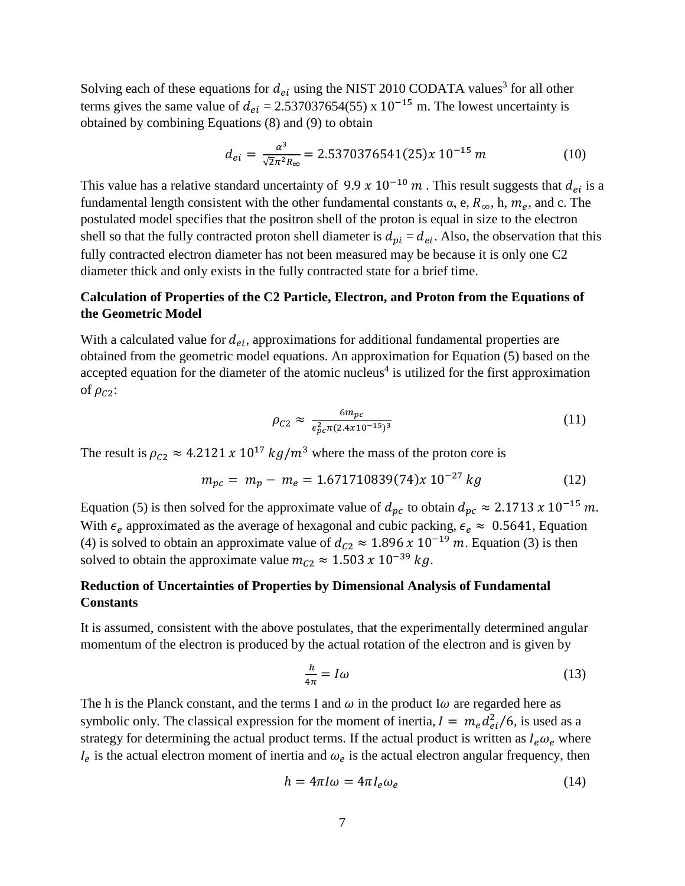Solving each of these equations for  $d_{ei}$  using the NIST 2010 CODATA values<sup>3</sup> for all other terms gives the same value of  $d_{ei} = 2.537037654(55) \times 10^{-15}$  m. The lowest uncertainty is obtained by combining Equations (8) and (9) to obtain

$$
d_{ei} = \frac{\alpha^3}{\sqrt{2}\pi^2 R_\infty} = 2.5370376541(25)x \ 10^{-15} \ m \tag{10}
$$

This value has a relative standard uncertainty of 9.9  $x$  10<sup>-10</sup> m. This result suggests that  $d_{ei}$  is a fundamental length consistent with the other fundamental constants  $\alpha$ , e,  $R_{\infty}$ , h,  $m_e$ , and c. The postulated model specifies that the positron shell of the proton is equal in size to the electron shell so that the fully contracted proton shell diameter is  $d_{pi} = d_{ei}$ . Also, the observation that this fully contracted electron diameter has not been measured may be because it is only one C2 diameter thick and only exists in the fully contracted state for a brief time.

### **Calculation of Properties of the C2 Particle, Electron, and Proton from the Equations of the Geometric Model**

With a calculated value for  $d_{ei}$ , approximations for additional fundamental properties are obtained from the geometric model equations. An approximation for Equation (5) based on the accepted equation for the diameter of the atomic nucleus<sup>4</sup> is utilized for the first approximation of  $\rho_{C2}$ :

$$
\rho_{C2} \approx \frac{6m_{pc}}{\epsilon_{pc}^2 \pi (2.4 \times 10^{-15})^3}
$$
 (11)

The result is  $\rho_{C2} \approx 4.2121 \times 10^{17} \ kg/m^3$  where the mass of the proton core is

$$
m_{pc} = m_p - m_e = 1.671710839(74)x 10^{-27} kg \tag{12}
$$

Equation (5) is then solved for the approximate value of  $d_{pc}$  to obtain  $d_{pc} \approx 2.1713 \times 10^{-15}$  m. With  $\epsilon_e$  approximated as the average of hexagonal and cubic packing,  $\epsilon_e \approx 0.5641$ , Equation (4) is solved to obtain an approximate value of  $d_{C2} \approx 1.896 \times 10^{-19}$  m. Equation (3) is then solved to obtain the approximate value  $m_{c2} \approx 1.503 \times 10^{-39} \text{ kg}$ .

### **Reduction of Uncertainties of Properties by Dimensional Analysis of Fundamental Constants**

It is assumed, consistent with the above postulates, that the experimentally determined angular momentum of the electron is produced by the actual rotation of the electron and is given by

$$
\frac{h}{4\pi} = I\omega\tag{13}
$$

The h is the Planck constant, and the terms I and  $\omega$  in the product I $\omega$  are regarded here as symbolic only. The classical expression for the moment of inertia,  $I = m_e d_{ei}^2/6$ , is used as a strategy for determining the actual product terms. If the actual product is written as  $I_e\omega_e$  where  $I_e$  is the actual electron moment of inertia and  $\omega_e$  is the actual electron angular frequency, then

$$
h = 4\pi I\omega = 4\pi I_e \omega_e \tag{14}
$$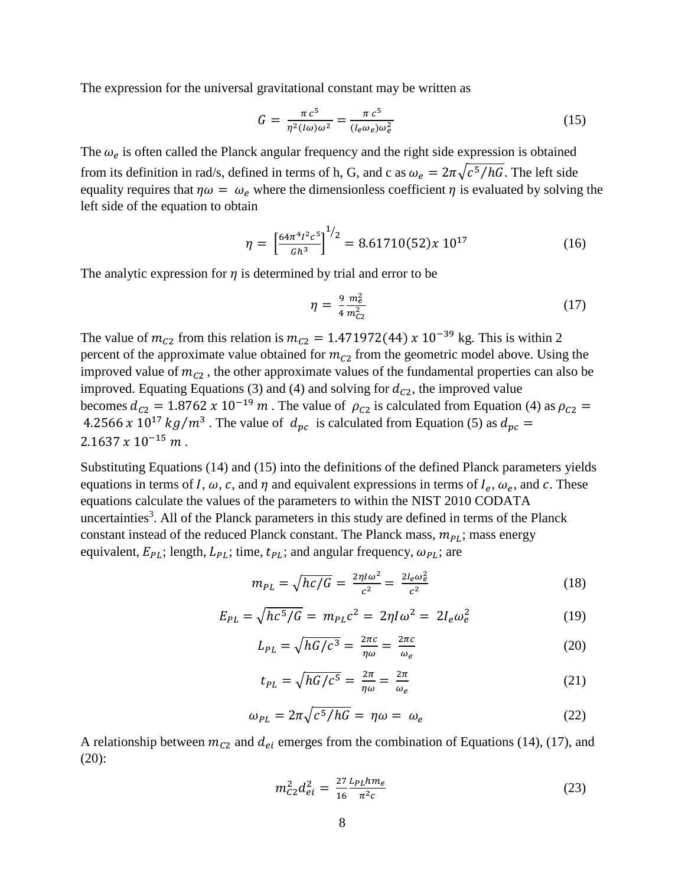The expression for the universal gravitational constant may be written as

$$
G = \frac{\pi c^5}{\eta^2 (l\omega)\omega^2} = \frac{\pi c^5}{(l_e \omega_e)\omega_e^2}
$$
 (15)

The  $\omega_e$  is often called the Planck angular frequency and the right side expression is obtained from its definition in rad/s, defined in terms of h, G, and c as  $\omega_e = 2\pi \sqrt{\frac{c^5}{hG}}$ . The left side equality requires that  $\eta \omega = \omega_e$  where the dimensionless coefficient  $\eta$  is evaluated by solving the left side of the equation to obtain

$$
\eta = \left[\frac{64\pi^4 l^2 c^5}{Gh^3}\right]^{1/2} = 8.61710(52)x 10^{17} \tag{16}
$$

The analytic expression for  $\eta$  is determined by trial and error to be

$$
\eta = \frac{9}{4} \frac{m_e^2}{m_{C2}^2} \tag{17}
$$

The value of  $m_{C2}$  from this relation is  $m_{C2} = 1.471972(44) \times 10^{-39}$  kg. This is within 2 percent of the approximate value obtained for  $m_{c2}$  from the geometric model above. Using the improved value of  $m_{c2}$ , the other approximate values of the fundamental properties can also be improved. Equating Equations (3) and (4) and solving for  $d_{c2}$ , the improved value becomes  $d_{C2} = 1.8762 \times 10^{-19} \text{ m}$ . The value of  $\rho_{C2}$  is calculated from Equation (4) as  $\rho_{C2} =$ 4.2566 x 10<sup>17</sup>  $kg/m^3$ . The value of  $d_{pc}$  is calculated from Equation (5) as  $d_{pc} =$  $2.1637 \times 10^{-15}$  m.

Substituting Equations (14) and (15) into the definitions of the defined Planck parameters yields equations in terms of I,  $\omega$ , c, and  $\eta$  and equivalent expressions in terms of  $I_e$ ,  $\omega_e$ , and c. These equations calculate the values of the parameters to within the NIST 2010 CODATA uncertainties<sup>3</sup>. All of the Planck parameters in this study are defined in terms of the Planck constant instead of the reduced Planck constant. The Planck mass,  $m_{PL}$ ; mass energy equivalent,  $E_{PL}$ ; length,  $L_{PL}$ ; time,  $t_{PL}$ ; and angular frequency,  $\omega_{PL}$ ; are

$$
m_{PL} = \sqrt{hc/G} = \frac{2\eta l\omega^2}{c^2} = \frac{2l_e\omega_e^2}{c^2}
$$
 (18)

$$
E_{PL} = \sqrt{hc^5/G} = m_{PL}c^2 = 2\eta I\omega^2 = 2I_e\omega_e^2
$$
 (19)

$$
L_{PL} = \sqrt{hG/c^3} = \frac{2\pi c}{\eta \omega} = \frac{2\pi c}{\omega_e} \tag{20}
$$

$$
t_{PL} = \sqrt{hG/c^5} = \frac{2\pi}{\eta \omega} = \frac{2\pi}{\omega_e} \tag{21}
$$

$$
\omega_{PL} = 2\pi \sqrt{c^5/hG} = \eta \omega = \omega_e \tag{22}
$$

A relationship between  $m_{c2}$  and  $d_{ei}$  emerges from the combination of Equations (14), (17), and (20):

$$
m_{C2}^2 d_{ei}^2 = \frac{27 L_{PL} h m_e}{16 \pi^2 c} \tag{23}
$$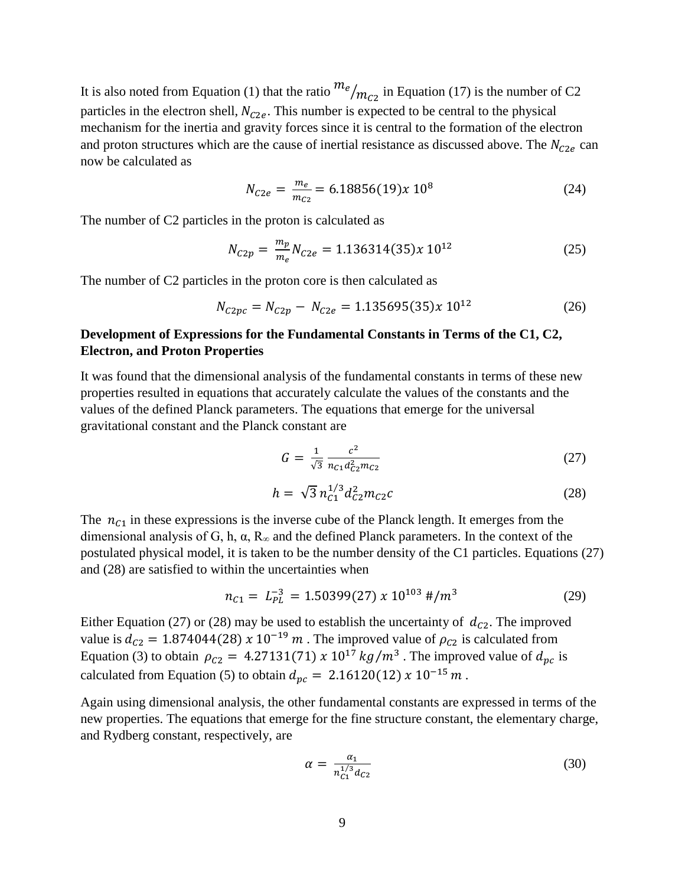It is also noted from Equation (1) that the ratio  $m_e/m_{c2}$  in Equation (17) is the number of C2 particles in the electron shell,  $N_{C2e}$ . This number is expected to be central to the physical mechanism for the inertia and gravity forces since it is central to the formation of the electron and proton structures which are the cause of inertial resistance as discussed above. The  $N_{C2e}$  can now be calculated as

$$
N_{C2e} = \frac{m_e}{m_{C2}} = 6.18856(19)x 10^8 \tag{24}
$$

The number of C2 particles in the proton is calculated as

$$
N_{C2p} = \frac{m_p}{m_e} N_{C2e} = 1.136314(35)x \, 10^{12} \tag{25}
$$

The number of C2 particles in the proton core is then calculated as

$$
N_{C2pc} = N_{C2p} - N_{C2e} = 1.135695(35)x 10^{12}
$$
 (26)

### **Development of Expressions for the Fundamental Constants in Terms of the C1, C2, Electron, and Proton Properties**

It was found that the dimensional analysis of the fundamental constants in terms of these new properties resulted in equations that accurately calculate the values of the constants and the values of the defined Planck parameters. The equations that emerge for the universal gravitational constant and the Planck constant are

$$
G = \frac{1}{\sqrt{3}} \frac{c^2}{n_{C1} d_{C2}^2 m_{C2}} \tag{27}
$$

$$
h = \sqrt{3} n_{c1}^{1/3} d_{c2}^2 m_{c2} c \tag{28}
$$

The  $n_{c1}$  in these expressions is the inverse cube of the Planck length. It emerges from the dimensional analysis of G, h,  $\alpha$ ,  $R_{\infty}$  and the defined Planck parameters. In the context of the postulated physical model, it is taken to be the number density of the C1 particles. Equations (27) and (28) are satisfied to within the uncertainties when

$$
n_{C1} = L_{PL}^{-3} = 1.50399(27) \times 10^{103} \, \text{H/m}^3 \tag{29}
$$

Either Equation (27) or (28) may be used to establish the uncertainty of  $d_{c2}$ . The improved value is  $d_{C2} = 1.874044(28) \times 10^{-19} \text{ m}$ . The improved value of  $\rho_{C2}$  is calculated from Equation (3) to obtain  $\rho_{C2} = 4.27131(71) \times 10^{17} \text{ kg/m}^3$ . The improved value of  $d_{pc}$  is calculated from Equation (5) to obtain  $d_{pc} = 2.16120(12) x 10^{-15} m$ .

Again using dimensional analysis, the other fundamental constants are expressed in terms of the new properties. The equations that emerge for the fine structure constant, the elementary charge, and Rydberg constant, respectively, are

$$
\alpha = \frac{\alpha_1}{n_{c_1}^{1/3} d_{c_2}} \tag{30}
$$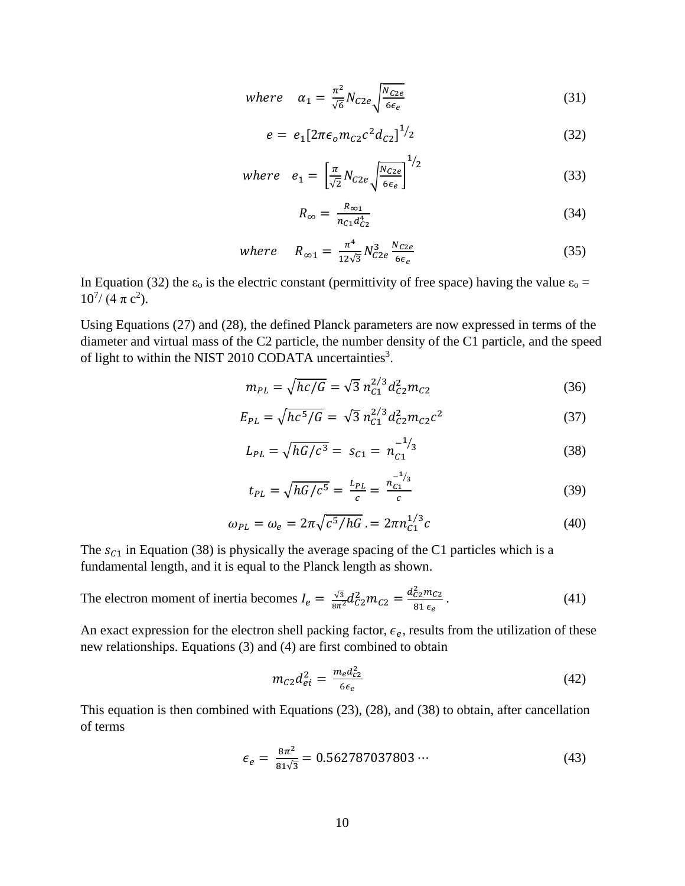where 
$$
\alpha_1 = \frac{\pi^2}{\sqrt{6}} N_{C2e} \sqrt{\frac{N_{C2e}}{6\epsilon_e}}
$$
 (31)

$$
e = e_1 [2\pi \epsilon_0 m_{C2} c^2 d_{C2}]^{1/2}
$$
 (32)

where 
$$
e_1 = \left[\frac{\pi}{\sqrt{2}}N_{C2e}\sqrt{\frac{N_{C2e}}{6\epsilon_e}}\right]^{1/2}
$$
 (33)

$$
R_{\infty} = \frac{R_{\infty 1}}{n_{c1}d_{c2}^4} \tag{34}
$$

where 
$$
R_{\infty 1} = \frac{\pi^4}{12\sqrt{3}} N_{C2e}^3 \frac{N_{C2e}}{6\epsilon_e}
$$
 (35)

In Equation (32) the  $\varepsilon_0$  is the electric constant (permittivity of free space) having the value  $\varepsilon_0$  =  $10^{7}/$  (4  $\pi$  c<sup>2</sup>).

Using Equations (27) and (28), the defined Planck parameters are now expressed in terms of the diameter and virtual mass of the C2 particle, the number density of the C1 particle, and the speed of light to within the NIST 2010 CODATA uncertainties<sup>3</sup>.

$$
m_{PL} = \sqrt{hc/G} = \sqrt{3} n_{C1}^{2/3} d_{C2}^2 m_{C2}
$$
 (36)

$$
E_{PL} = \sqrt{hc^5/G} = \sqrt{3} n_{C1}^{2/3} d_{C2}^2 m_{C2} c^2
$$
 (37)

$$
L_{PL} = \sqrt{hG/c^3} = s_{C1} = n_{C1}^{-1/3}
$$
 (38)

$$
t_{PL} = \sqrt{hG/c^5} = \frac{L_{PL}}{c} = \frac{n_{C1}^{-1/3}}{c}
$$
 (39)

$$
\omega_{PL} = \omega_e = 2\pi \sqrt{c^5/hG} = 2\pi n_{C1}^{1/3}c \tag{40}
$$

The  $s_{c1}$  in Equation (38) is physically the average spacing of the C1 particles which is a fundamental length, and it is equal to the Planck length as shown.

The electron moment of inertia becomes 
$$
I_e = \frac{\sqrt{3}}{8\pi^2} d_{C2}^2 m_{C2} = \frac{d_{C2}^2 m_{C2}}{81 \epsilon_e}.
$$
 (41)

An exact expression for the electron shell packing factor,  $\epsilon_e$ , results from the utilization of these new relationships. Equations (3) and (4) are first combined to obtain

$$
m_{C2}d_{ei}^2 = \frac{m_e d_{c2}^2}{6\epsilon_e} \tag{42}
$$

This equation is then combined with Equations (23), (28), and (38) to obtain, after cancellation of terms

$$
\epsilon_e = \frac{8\pi^2}{81\sqrt{3}} = 0.562787037803\cdots \tag{43}
$$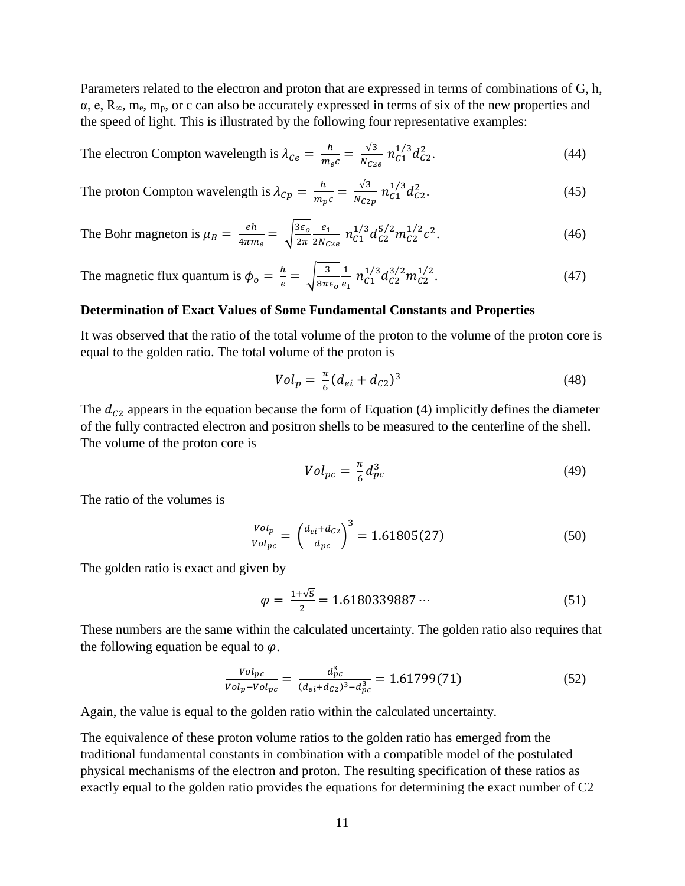Parameters related to the electron and proton that are expressed in terms of combinations of G, h,  $\alpha$ , e, R<sub>∞</sub>, m<sub>e</sub>, m<sub>p</sub>, or c can also be accurately expressed in terms of six of the new properties and the speed of light. This is illustrated by the following four representative examples:

The electron Compton wavelength is 
$$
\lambda_{Ce} = \frac{h}{m_e c} = \frac{\sqrt{3}}{N_{C2e}} n_{C1}^{1/3} d_{C2}^2
$$
. (44)

The proton Compton wavelength is 
$$
\lambda_{Cp} = \frac{h}{m_p c} = \frac{\sqrt{3}}{N_{C2p}} n_{C1}^{1/3} d_{C2}^2
$$
. (45)

The Bohr magneton is 
$$
\mu_B = \frac{eh}{4\pi m_e} = \sqrt{\frac{3\epsilon_o}{2\pi}} \frac{e_1}{2N_{C2e}} n_{C1}^{1/3} d_{C2}^{5/2} m_{C2}^{1/2} c^2
$$
. (46)

The magnetic flux quantum is  $\phi_o = \frac{h}{e} = \sqrt{\frac{3}{8\pi\epsilon_o}}$ 1  $\frac{1}{e_1} n_{C1}^{1/3} d_{C2}^{3/2} m_{C2}^{1/2}$  $(47)$ 

#### **Determination of Exact Values of Some Fundamental Constants and Properties**

It was observed that the ratio of the total volume of the proton to the volume of the proton core is equal to the golden ratio. The total volume of the proton is

$$
Vol_p = \frac{\pi}{6} (d_{ei} + d_{C2})^3
$$
 (48)

The  $d_{c2}$  appears in the equation because the form of Equation (4) implicitly defines the diameter of the fully contracted electron and positron shells to be measured to the centerline of the shell. The volume of the proton core is

$$
Vol_{pc} = \frac{\pi}{6} d_{pc}^3 \tag{49}
$$

The ratio of the volumes is

$$
\frac{Vol_p}{Vol_{pc}} = \left(\frac{d_{ei} + d_{C2}}{d_{pc}}\right)^3 = 1.61805(27)
$$
 (50)

The golden ratio is exact and given by

$$
\varphi = \frac{1+\sqrt{5}}{2} = 1.6180339887\cdots \tag{51}
$$

These numbers are the same within the calculated uncertainty. The golden ratio also requires that the following equation be equal to  $\varphi$ .

$$
\frac{Vol_{pc}}{Vol_p - Vol_{pc}} = \frac{d_{pc}^3}{(d_{ei} + d_{C2})^3 - d_{pc}^3} = 1.61799(71)
$$
 (52)

Again, the value is equal to the golden ratio within the calculated uncertainty.

The equivalence of these proton volume ratios to the golden ratio has emerged from the traditional fundamental constants in combination with a compatible model of the postulated physical mechanisms of the electron and proton. The resulting specification of these ratios as exactly equal to the golden ratio provides the equations for determining the exact number of C2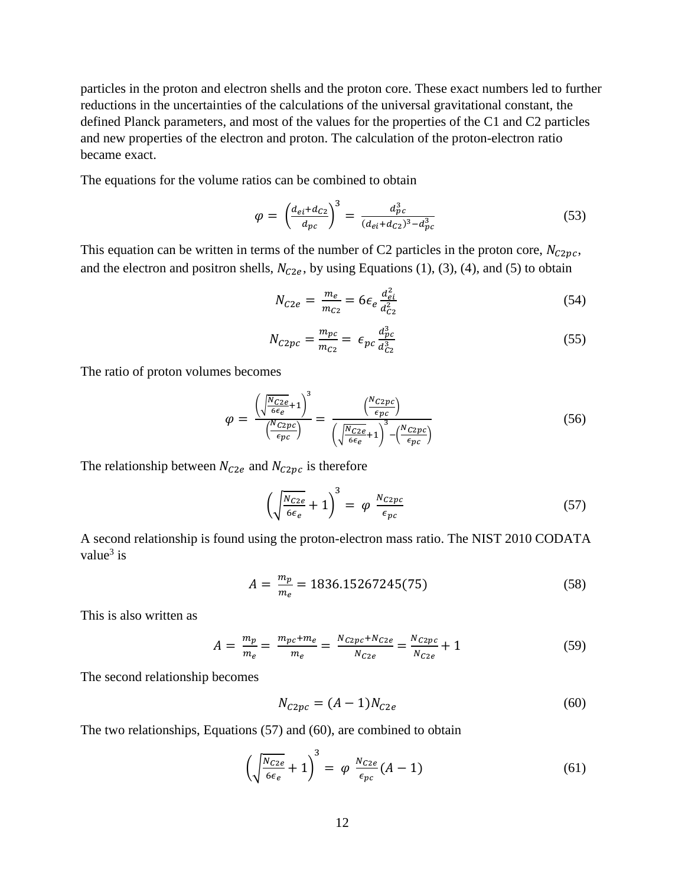particles in the proton and electron shells and the proton core. These exact numbers led to further reductions in the uncertainties of the calculations of the universal gravitational constant, the defined Planck parameters, and most of the values for the properties of the C1 and C2 particles and new properties of the electron and proton. The calculation of the proton-electron ratio became exact.

The equations for the volume ratios can be combined to obtain

$$
\varphi = \left(\frac{d_{ei} + d_{C2}}{d_{pc}}\right)^3 = \frac{d_{pc}^3}{(d_{ei} + d_{C2})^3 - d_{pc}^3}
$$
\n(53)

This equation can be written in terms of the number of C2 particles in the proton core,  $N_{C2pc}$ , and the electron and positron shells,  $N_{C2e}$ , by using Equations (1), (3), (4), and (5) to obtain

$$
N_{C2e} = \frac{m_e}{m_{C2}} = 6\epsilon_e \frac{d_{ei}^2}{d_{C2}^2}
$$
 (54)

$$
N_{C2pc} = \frac{m_{pc}}{m_{C2}} = \epsilon_{pc} \frac{d_{pc}^3}{d_{C2}^3}
$$
 (55)

The ratio of proton volumes becomes

$$
\varphi = \frac{\left(\sqrt{\frac{N_{C2e}}{\epsilon_e} + 1}\right)^3}{\left(\frac{N_{C2pc}}{\epsilon_{pc}}\right)} = \frac{\left(\frac{N_{C2pc}}{\epsilon_{pc}}\right)}{\left(\sqrt{\frac{N_{C2e}}{\epsilon_e} + 1}\right)^3 - \left(\frac{N_{C2pc}}{\epsilon_{pc}}\right)}
$$
(56)

The relationship between  $N_{C2e}$  and  $N_{C2pc}$  is therefore

$$
\left(\sqrt{\frac{N_{C2e}}{6\epsilon_e}} + 1\right)^3 = \varphi \frac{N_{C2pc}}{\epsilon_{pc}} \tag{57}
$$

A second relationship is found using the proton-electron mass ratio. The NIST 2010 CODATA value $3$  is

$$
A = \frac{m_p}{m_e} = 1836.15267245(75) \tag{58}
$$

This is also written as

$$
A = \frac{m_p}{m_e} = \frac{m_{pc} + m_e}{m_e} = \frac{N_{C2pc} + N_{C2e}}{N_{C2e}} = \frac{N_{C2pc}}{N_{C2e}} + 1
$$
 (59)

The second relationship becomes

$$
N_{C2pc} = (A - 1)N_{C2e}
$$
 (60)

The two relationships, Equations (57) and (60), are combined to obtain

$$
\left(\sqrt{\frac{N_{C2e}}{6\epsilon_e}}+1\right)^3 = \varphi \frac{N_{C2e}}{\epsilon_{pc}}(A-1) \tag{61}
$$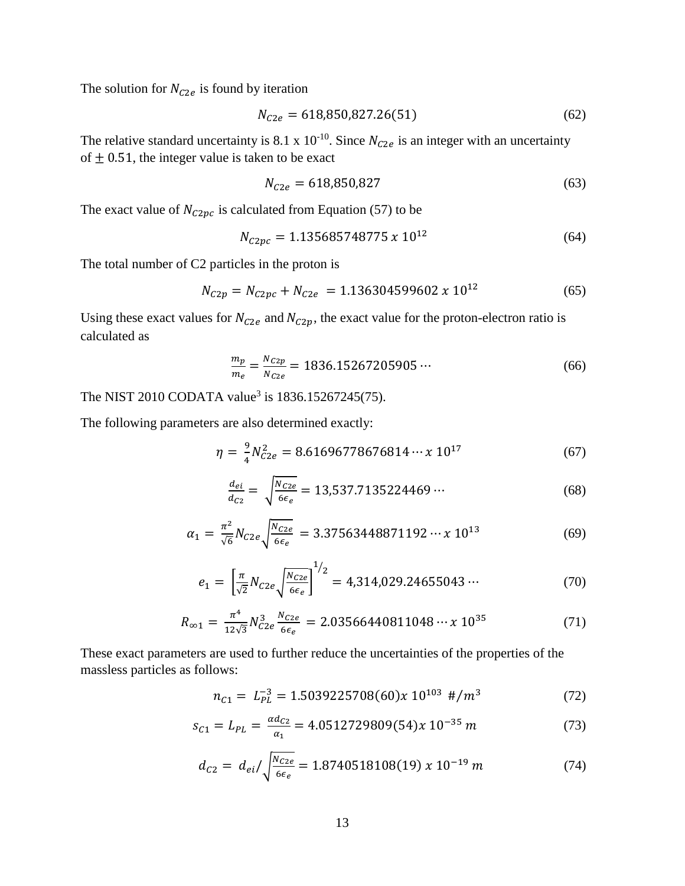The solution for  $N_{C2e}$  is found by iteration

$$
N_{C2e} = 618,850,827.26(51)
$$
 (62)

The relative standard uncertainty is 8.1 x 10<sup>-10</sup>. Since  $N_{C2e}$  is an integer with an uncertainty of  $\pm$  0.51, the integer value is taken to be exact

$$
N_{C2e} = 618,850,827\tag{63}
$$

The exact value of  $N_{C2pc}$  is calculated from Equation (57) to be

$$
N_{C2pc} = 1.135685748775 \, x \, 10^{12} \tag{64}
$$

The total number of C2 particles in the proton is

$$
N_{C2p} = N_{C2pc} + N_{C2e} = 1.136304599602 \times 10^{12}
$$
 (65)

Using these exact values for  $N_{C2e}$  and  $N_{C2p}$ , the exact value for the proton-electron ratio is calculated as

$$
\frac{m_p}{m_e} = \frac{N_{C2p}}{N_{C2e}} = 1836.15267205905\cdots\tag{66}
$$

The NIST 2010 CODATA value<sup>3</sup> is 1836.15267245(75).

The following parameters are also determined exactly:

$$
\eta = \frac{9}{4} N_{C2e}^2 = 8.61696778676814 \cdots x 10^{17} \tag{67}
$$

$$
\frac{d_{ei}}{d_{C2}} = \sqrt{\frac{N_{C2e}}{6\epsilon_e}} = 13{,}537.7135224469\cdots
$$
 (68)

$$
\alpha_1 = \frac{\pi^2}{\sqrt{6}} N_{C2e} \sqrt{\frac{N_{C2e}}{6\epsilon_e}} = 3.37563448871192 \cdots x 10^{13} \tag{69}
$$

$$
e_1 = \left[\frac{\pi}{\sqrt{2}} N_{C2e} \sqrt{\frac{N_{C2e}}{6\epsilon_e}}\right]^{1/2} = 4,314,029.24655043\cdots \tag{70}
$$

$$
R_{\infty 1} = \frac{\pi^4}{12\sqrt{3}} N_{C2e}^3 \frac{N_{C2e}}{6\epsilon_e} = 2.03566440811048 \cdots \times 10^{35} \tag{71}
$$

These exact parameters are used to further reduce the uncertainties of the properties of the massless particles as follows:

$$
n_{C1} = L_{PL}^{-3} = 1.5039225708(60)x 10^{103} \#/m^3 \tag{72}
$$

$$
s_{C1} = L_{PL} = \frac{ad_{C2}}{a_1} = 4.0512729809(54)x 10^{-35} m \tag{73}
$$

$$
d_{C2} = d_{ei} / \sqrt{\frac{N_{C2e}}{6\epsilon_e}} = 1.8740518108(19) \times 10^{-19} \, m \tag{74}
$$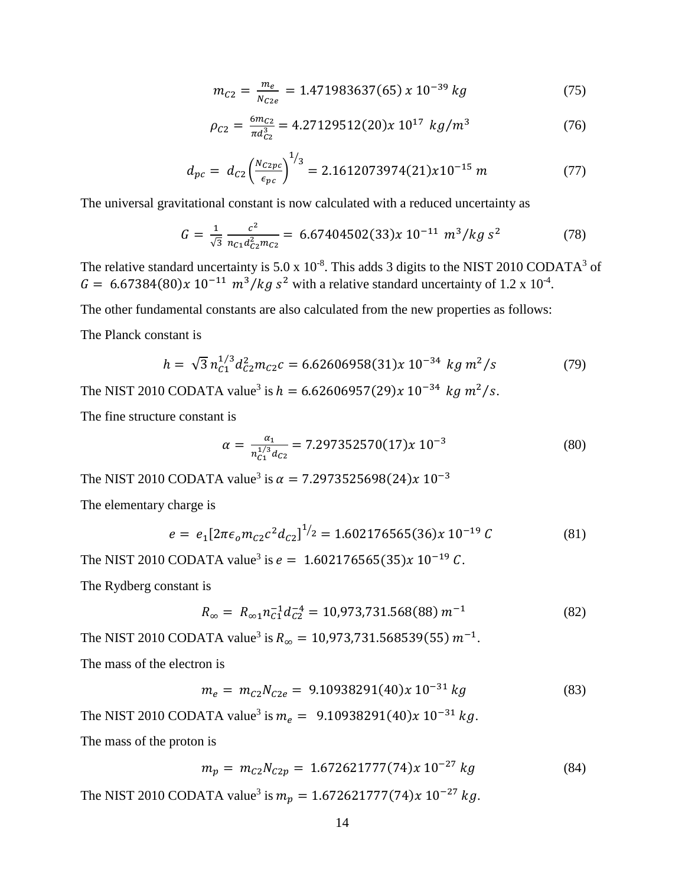$$
m_{C2} = \frac{m_e}{N_{C2e}} = 1.471983637(65) \times 10^{-39} \, kg \tag{75}
$$

$$
\rho_{C2} = \frac{6m_{C2}}{\pi d_{C2}^3} = 4.27129512(20)x \ 10^{17} \ kg/m^3 \tag{76}
$$

$$
d_{pc} = d_{C2} \left(\frac{N_{C2pc}}{\epsilon_{pc}}\right)^{1/3} = 2.1612073974(21)x10^{-15} m \tag{77}
$$

The universal gravitational constant is now calculated with a reduced uncertainty as

$$
G = \frac{1}{\sqrt{3}} \frac{c^2}{n_{C1} d_{C2}^2 m_{C2}} = 6.67404502(33)x \ 10^{-11} \ m^3/kg \ s^2 \tag{78}
$$

The relative standard uncertainty is 5.0 x  $10^{-8}$ . This adds 3 digits to the NIST 2010 CODATA<sup>3</sup> of  $G = 6.67384(80)x 10^{-11} m^3/kg s^2$  with a relative standard uncertainty of 1.2 x 10<sup>-4</sup>.

The other fundamental constants are also calculated from the new properties as follows:

The Planck constant is

$$
h = \sqrt{3} n_{C1}^{1/3} d_{C2}^2 m_{C2} c = 6.62606958(31)x 10^{-34} kg m^2/s
$$
 (79)

The NIST 2010 CODATA value<sup>3</sup> is  $h = 6.62606957(29)x 10^{-34}$  kg  $m^2/s$ .

The fine structure constant is

$$
\alpha = \frac{\alpha_1}{n_{C_1}^{1/3} d_{C_2}} = 7.297352570(17)x \, 10^{-3} \tag{80}
$$

The NIST 2010 CODATA value<sup>3</sup> is  $\alpha = 7.2973525698(24) \times 10^{-3}$ 

The elementary charge is

$$
e = e_1 \left[ 2\pi \epsilon_0 m_{C2} c^2 d_{C2} \right]^{1/2} = 1.602176565(36)x \, 10^{-19} \, C \tag{81}
$$

The NIST 2010 CODATA value<sup>3</sup> is  $e = 1.602176565(35)x 10^{-19} C$ .

The Rydberg constant is

$$
R_{\infty} = R_{\infty 1} n_{c1}^{-1} d_{c2}^{-4} = 10,973,731.568(88) m^{-1}
$$
 (82)

The NIST 2010 CODATA value<sup>3</sup> is  $R_{\infty} = 10,973,731.568539(55) m^{-1}$ . The mass of the electron is

$$
m_e = m_{C2} N_{C2e} = 9.10938291(40)x 10^{-31} kg \tag{83}
$$

The NIST 2010 CODATA value<sup>3</sup> is  $m_e = 9.10938291(40)x 10^{-31} kg$ . The mass of the proton is

$$
m_p = m_{C2} N_{C2p} = 1.672621777(74)x 10^{-27} kg
$$
 (84)

The NIST 2010 CODATA value<sup>3</sup> is  $m_p = 1.672621777(74)x 10^{-27} kg$ .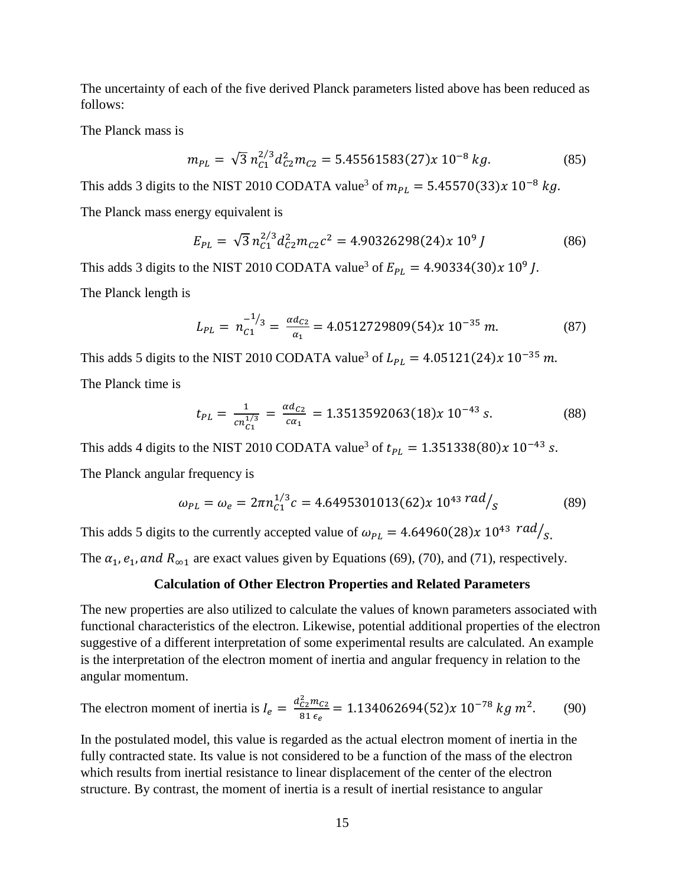The uncertainty of each of the five derived Planck parameters listed above has been reduced as follows:

The Planck mass is

$$
m_{PL} = \sqrt{3} n_{C1}^{2/3} d_{C2}^2 m_{C2} = 5.45561583(27)x 10^{-8} kg.
$$
 (85)

This adds 3 digits to the NIST 2010 CODATA value<sup>3</sup> of  $m_{PL} = 5.45570(33)x 10^{-8} kg$ .

The Planck mass energy equivalent is

$$
E_{PL} = \sqrt{3} n_{C1}^{2/3} d_{C2}^2 m_{C2} c^2 = 4.90326298(24)x 10^9 J \tag{86}
$$

This adds 3 digits to the NIST 2010 CODATA value<sup>3</sup> of  $E_{PL} = 4.90334(30)x \cdot 10^9 J$ . The Planck length is

$$
L_{PL} = n_{c1}^{-1/3} = \frac{\alpha d_{c2}}{\alpha_1} = 4.0512729809(54)x \ 10^{-35} \ m. \tag{87}
$$

This adds 5 digits to the NIST 2010 CODATA value<sup>3</sup> of  $L_{PL} = 4.05121(24)x 10^{-35} m$ . The Planck time is

$$
t_{PL} = \frac{1}{cn_{C1}^{1/3}} = \frac{\alpha d_{C2}}{c\alpha_1} = 1.3513592063(18)x \ 10^{-43} \ s. \tag{88}
$$

This adds 4 digits to the NIST 2010 CODATA value<sup>3</sup> of  $t_{PL} = 1.351338(80)x 10^{-43}$  s.

The Planck angular frequency is

$$
\omega_{PL} = \omega_e = 2\pi n_{C1}^{1/3} c = 4.6495301013(62)x 10^{43} \, \text{rad}/s \tag{89}
$$

This adds 5 digits to the currently accepted value of  $\omega_{PL} = 4.64960(28)x 10^{43} rad/s$ .

The  $\alpha_1$ ,  $e_1$ , and  $R_{\infty 1}$  are exact values given by Equations (69), (70), and (71), respectively.

### **Calculation of Other Electron Properties and Related Parameters**

The new properties are also utilized to calculate the values of known parameters associated with functional characteristics of the electron. Likewise, potential additional properties of the electron suggestive of a different interpretation of some experimental results are calculated. An example is the interpretation of the electron moment of inertia and angular frequency in relation to the angular momentum.

The electron moment of inertia is 
$$
I_e = \frac{d_{C2}^2 m_{C2}}{81 \epsilon_e} = 1.134062694(52)x 10^{-78} kg m^2
$$
. (90)

In the postulated model, this value is regarded as the actual electron moment of inertia in the fully contracted state. Its value is not considered to be a function of the mass of the electron which results from inertial resistance to linear displacement of the center of the electron structure. By contrast, the moment of inertia is a result of inertial resistance to angular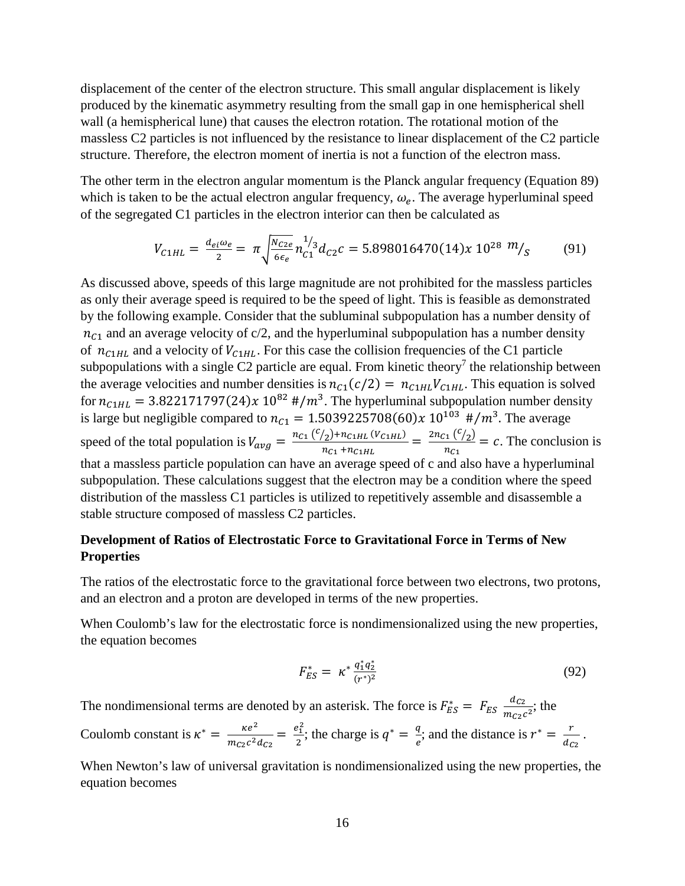displacement of the center of the electron structure. This small angular displacement is likely produced by the kinematic asymmetry resulting from the small gap in one hemispherical shell wall (a hemispherical lune) that causes the electron rotation. The rotational motion of the massless C2 particles is not influenced by the resistance to linear displacement of the C2 particle structure. Therefore, the electron moment of inertia is not a function of the electron mass.

The other term in the electron angular momentum is the Planck angular frequency (Equation 89) which is taken to be the actual electron angular frequency,  $\omega_e$ . The average hyperluminal speed of the segregated C1 particles in the electron interior can then be calculated as

$$
V_{C1HL} = \frac{d_{ei}\omega_e}{2} = \pi \sqrt{\frac{N_{C2e}}{6\epsilon_e}} n_{C1}^{1/3} d_{C2}c = 5.898016470(14)x 10^{28} m_{\text{s}} \tag{91}
$$

As discussed above, speeds of this large magnitude are not prohibited for the massless particles as only their average speed is required to be the speed of light. This is feasible as demonstrated by the following example. Consider that the subluminal subpopulation has a number density of  $n_{c1}$  and an average velocity of c/2, and the hyperluminal subpopulation has a number density of  $n_{c1HL}$  and a velocity of  $V_{c1HL}$ . For this case the collision frequencies of the C1 particle subpopulations with a single C2 particle are equal. From kinetic theory<sup>7</sup> the relationship between the average velocities and number densities is  $n_{c1}(c/2) = n_{c1HL} V_{c1HL}$ . This equation is solved for  $n_{c1HL} = 3.822171797(24)x 10^{82}$  #/m<sup>3</sup>. The hyperluminal subpopulation number density is large but negligible compared to  $n_{c1} = 1.5039225708(60)x 10^{103}$  #/m<sup>3</sup>. The average speed of the total population is  $V_{avg} = \frac{n_{C1} (V_{2}) + n_{C1HL} (V_{C1HL})}{n_{C1} + n_{C1HL}} = \frac{2n_{C1} (V_{2})}{n_{C1}} = c$ . The conclusion is that a massless particle population can have an average speed of c and also have a hyperluminal subpopulation. These calculations suggest that the electron may be a condition where the speed distribution of the massless C1 particles is utilized to repetitively assemble and disassemble a stable structure composed of massless C2 particles.

# **Development of Ratios of Electrostatic Force to Gravitational Force in Terms of New Properties**

The ratios of the electrostatic force to the gravitational force between two electrons, two protons, and an electron and a proton are developed in terms of the new properties.

When Coulomb's law for the electrostatic force is nondimensionalized using the new properties, the equation becomes

$$
F_{ES}^* = \kappa^* \frac{q_1^* q_2^*}{(r^*)^2} \tag{92}
$$

The nondimensional terms are denoted by an asterisk. The force is  $F_{ES}^* = F_{ES} \frac{ac_2}{m_{C2}c_2^2}$ ; the Coulomb constant is  $\kappa^* = \frac{\kappa e^2}{m_{C2}c^2 d_{C2}} = \frac{e_1^2}{2}$ ; the charge is  $q^* = \frac{q}{e}$ ; and the distance is  $r^* = \frac{r}{d_{C2}}$ .

When Newton's law of universal gravitation is nondimensionalized using the new properties, the equation becomes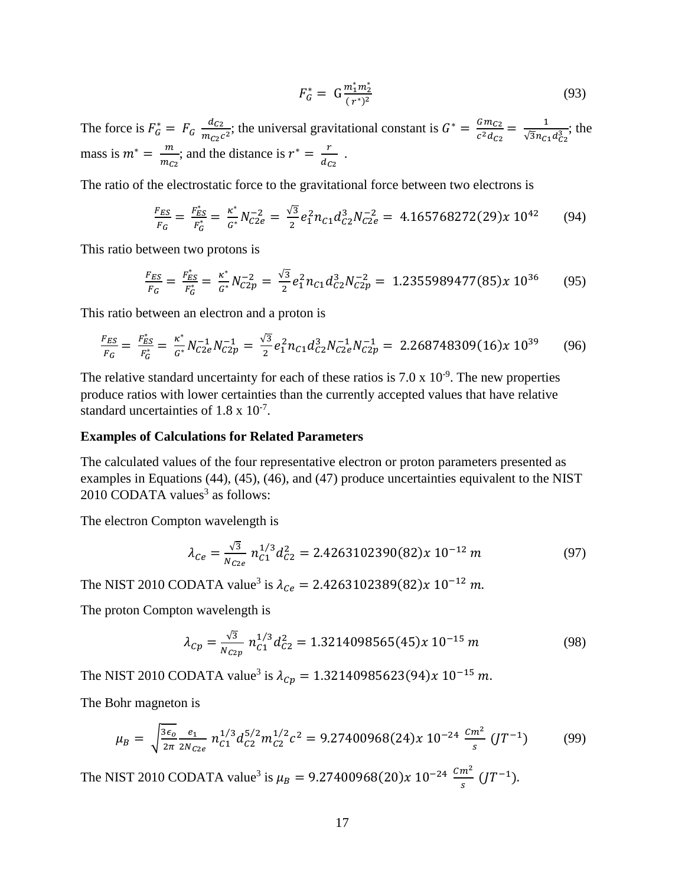$$
F_G^* = G \frac{m_1^* m_2^*}{(r^*)^2} \tag{93}
$$

The force is  $F_G^* = F_G \frac{dc_2}{m_{c2}c^2}$ ; the universal gravitational constant is  $G^* = \frac{Gm_{c2}}{c^2 d_{c2}} = \frac{1}{\sqrt{3}n_{c1}d_{c2}^3}$ ; the mass is  $m^* = \frac{m}{m_{C2}}$ ; and the distance is  $r^* = \frac{r}{d_{C2}}$ .

The ratio of the electrostatic force to the gravitational force between two electrons is

$$
\frac{F_{ES}}{F_G} = \frac{F_{ES}^*}{F_G^*} = \frac{\kappa^*}{G^*} N_{C2e}^{-2} = \frac{\sqrt{3}}{2} e_1^2 n_{C1} d_{C2}^3 N_{C2e}^{-2} = 4.165768272(29) \times 10^{42} \tag{94}
$$

This ratio between two protons is

$$
\frac{F_{ES}}{F_G} = \frac{F_{ES}^*}{F_G^*} = \frac{\kappa^*}{G^*} N_{C2p}^{-2} = \frac{\sqrt{3}}{2} e_1^2 n_{C1} d_{C2}^3 N_{C2p}^{-2} = 1.2355989477(85)x 10^{36} \tag{95}
$$

This ratio between an electron and a proton is

$$
\frac{F_{ES}}{F_G} = \frac{F_{ES}^*}{F_G^*} = \frac{\kappa^*}{G^*} N_{C2e}^{-1} N_{C2p}^{-1} = \frac{\sqrt{3}}{2} e_1^2 n_{C1} d_{C2}^3 N_{C2e}^{-1} N_{C2p}^{-1} = 2.268748309(16)x 10^{39} \tag{96}
$$

The relative standard uncertainty for each of these ratios is  $7.0 \times 10^{-9}$ . The new properties produce ratios with lower certainties than the currently accepted values that have relative standard uncertainties of  $1.8 \times 10^{-7}$ .

#### **Examples of Calculations for Related Parameters**

The calculated values of the four representative electron or proton parameters presented as examples in Equations (44), (45), (46), and (47) produce uncertainties equivalent to the NIST  $2010$  CODATA values<sup>3</sup> as follows:

The electron Compton wavelength is

$$
\lambda_{Ce} = \frac{\sqrt{3}}{N_{C2e}} n_{C1}^{1/3} d_{C2}^2 = 2.4263102390(82)x 10^{-12} m \tag{97}
$$

The NIST 2010 CODATA value<sup>3</sup> is  $\lambda_{Ce} = 2.4263102389(82)x 10^{-12} m$ .

The proton Compton wavelength is

$$
\lambda_{Cp} = \frac{\sqrt{3}}{N_{C2p}} n_{C1}^{1/3} d_{C2}^2 = 1.3214098565(45)x \ 10^{-15} \ m \tag{98}
$$

The NIST 2010 CODATA value<sup>3</sup> is  $\lambda_{Cp} = 1.32140985623(94)x 10^{-15} m$ .

The Bohr magneton is

$$
\mu_B = \sqrt{\frac{3\epsilon_0}{2\pi} \frac{e_1}{2N_{C2e}}} n_{C1}^{1/3} d_{C2}^{5/2} m_{C2}^{1/2} c^2 = 9.27400968(24)x \, 10^{-24} \, \frac{Cm^2}{s} \, (JT^{-1}) \tag{99}
$$

The NIST 2010 CODATA value<sup>3</sup> is  $\mu_B = 9.27400968(20)x 10^{-24} \frac{cm^2}{s} (JT^{-1}).$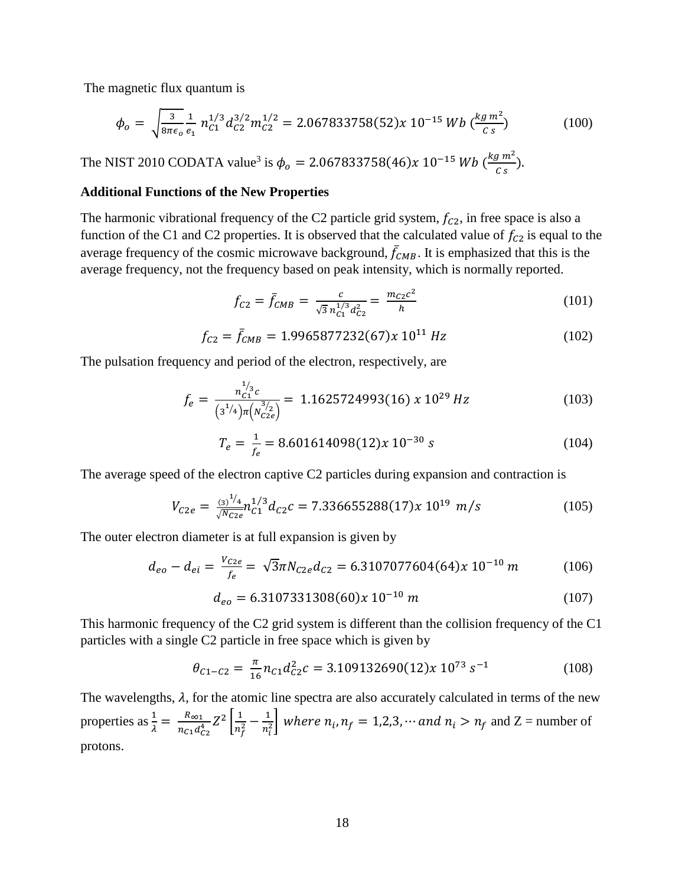The magnetic flux quantum is

$$
\phi_o = \sqrt{\frac{3}{8\pi\epsilon_o}} \frac{1}{e_1} n_{C1}^{1/3} d_{C2}^{3/2} m_{C2}^{1/2} = 2.067833758(52)x 10^{-15} Wb \left(\frac{kg m^2}{c s}\right)
$$
(100)

The NIST 2010 CODATA value<sup>3</sup> is  $\phi_o = 2.067833758(46)x 10^{-15} Wb \left(\frac{kg m^2}{c s}\right)$ .

### **Additional Functions of the New Properties**

The harmonic vibrational frequency of the C2 particle grid system,  $f_{C2}$ , in free space is also a function of the C1 and C2 properties. It is observed that the calculated value of  $f_{C2}$  is equal to the average frequency of the cosmic microwave background,  $\bar{f}_{CMB}$ . It is emphasized that this is the average frequency, not the frequency based on peak intensity, which is normally reported.

$$
f_{C2} = \bar{f}_{CMB} = \frac{c}{\sqrt{3} n_{C1}^{1/3} d_{C2}^2} = \frac{m_{C2}c^2}{h}
$$
 (101)

$$
f_{C2} = \bar{f}_{CMB} = 1.9965877232(67)x 10^{11} Hz
$$
 (102)

The pulsation frequency and period of the electron, respectively, are

$$
f_e = \frac{n_{c1}^{1/3}c}{(3^{1/4})\pi (n_{c2e}^{3/2})} = 1.1625724993(16) \times 10^{29} Hz
$$
 (103)

$$
T_e = \frac{1}{f_e} = 8.601614098(12)x 10^{-30} s \tag{104}
$$

The average speed of the electron captive C2 particles during expansion and contraction is

$$
V_{C2e} = \frac{(\frac{3}{5})^{\frac{1}{4}} n_{C2e}^{1/3}}{\sqrt{N_{C2e}}} n_{C1}^{1/3} d_{C2}c = 7.336655288(17)x 10^{19} m/s
$$
 (105)

The outer electron diameter is at full expansion is given by

$$
d_{eo} - d_{ei} = \frac{V_{C2e}}{f_e} = \sqrt{3}\pi N_{C2e} d_{C2} = 6.3107077604(64)x 10^{-10} m \tag{106}
$$

$$
d_{eo} = 6.3107331308(60)x 10^{-10} m \tag{107}
$$

This harmonic frequency of the C2 grid system is different than the collision frequency of the C1 particles with a single C2 particle in free space which is given by

$$
\theta_{C1-C2} = \frac{\pi}{16} n_{C1} d_{C2}^2 c = 3.109132690(12) x 10^{73} s^{-1}
$$
 (108)

The wavelengths,  $\lambda$ , for the atomic line spectra are also accurately calculated in terms of the new properties as  $\frac{1}{\lambda} = \frac{R_{\infty 1}}{n_{c1} d_{c2}^4} Z^2 \left[ \frac{1}{n_f^2} - \frac{1}{n_i^2} \right]$  where  $n_i$ ,  $n_f = 1, 2, 3, \cdots$  and  $n_i > n_f$  and  $Z =$  number of protons.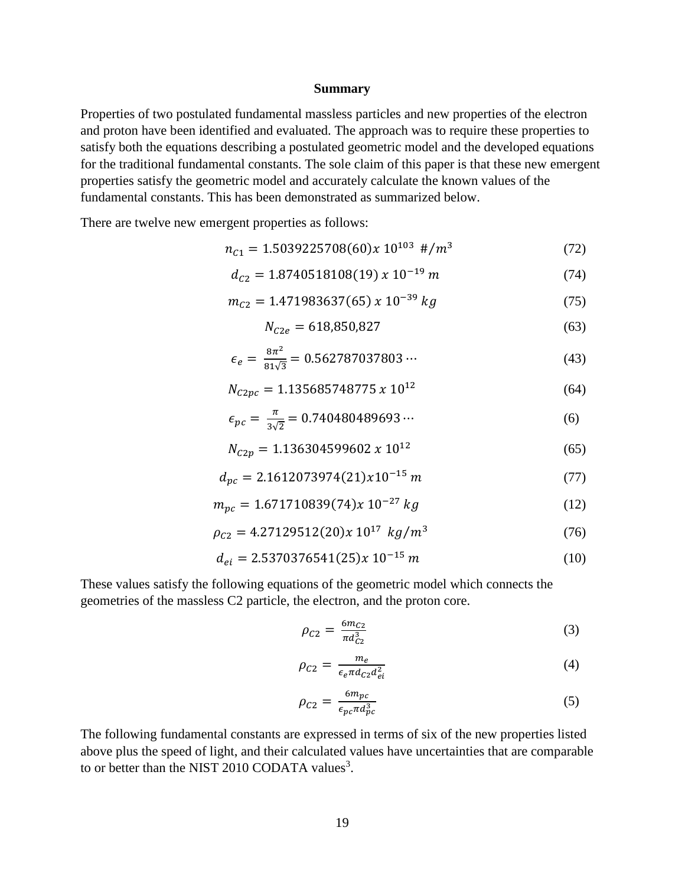#### **Summary**

Properties of two postulated fundamental massless particles and new properties of the electron and proton have been identified and evaluated. The approach was to require these properties to satisfy both the equations describing a postulated geometric model and the developed equations for the traditional fundamental constants. The sole claim of this paper is that these new emergent properties satisfy the geometric model and accurately calculate the known values of the fundamental constants. This has been demonstrated as summarized below.

There are twelve new emergent properties as follows:

$$
n_{C1} = 1.5039225708(60)x 10^{103} \#/m^3 \tag{72}
$$

$$
d_{C2} = 1.8740518108(19) \times 10^{-19} \, m \tag{74}
$$

$$
m_{C2} = 1.471983637(65) \times 10^{-39} \, kg \tag{75}
$$

$$
N_{C2e} = 618,850,827\tag{63}
$$

$$
\epsilon_e = \frac{8\pi^2}{81\sqrt{3}} = 0.562787037803\cdots \tag{43}
$$

$$
N_{C2pc} = 1.135685748775 \times 10^{12} \tag{64}
$$

$$
\epsilon_{pc} = \frac{\pi}{3\sqrt{2}} = 0.740480489693\cdots\tag{6}
$$

$$
N_{C2p} = 1.136304599602 \times 10^{12} \tag{65}
$$

$$
d_{pc} = 2.1612073974(21)x10^{-15} m \tag{77}
$$

$$
m_{pc} = 1.671710839(74)x 10^{-27} kg
$$
 (12)

$$
\rho_{C2} = 4.27129512(20)x 10^{17} kg/m^3 \tag{76}
$$

$$
d_{ei} = 2.5370376541(25)x 10^{-15} m \tag{10}
$$

These values satisfy the following equations of the geometric model which connects the geometries of the massless C2 particle, the electron, and the proton core.

$$
\rho_{C2} = \frac{6m_{C2}}{\pi d_{C2}^3} \tag{3}
$$

$$
\rho_{C2} = \frac{m_e}{\epsilon_e \pi d_{C2} d_{ei}^2} \tag{4}
$$

$$
\rho_{C2} = \frac{6m_{pc}}{\epsilon_{pc}\pi d_{pc}^3} \tag{5}
$$

The following fundamental constants are expressed in terms of six of the new properties listed above plus the speed of light, and their calculated values have uncertainties that are comparable to or better than the NIST 2010 CODATA values<sup>3</sup>.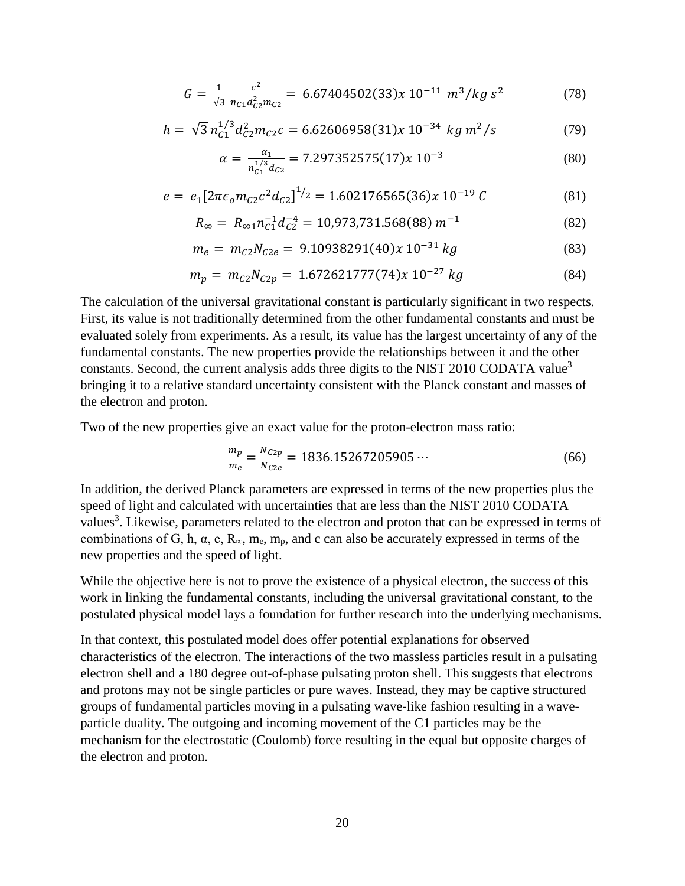$$
G = \frac{1}{\sqrt{3}} \frac{c^2}{n_{C1} d_{C2}^2 m_{C2}} = 6.67404502(33)x \ 10^{-11} \ m^3/kg \ s^2 \tag{78}
$$

$$
h = \sqrt{3} n_{c1}^{1/3} d_{c2}^2 m_{c2} c = 6.62606958(31)x 10^{-34} kg m^2/s
$$
 (79)

$$
\alpha = \frac{\alpha_1}{n_{C1}^{1/3} d_{C2}} = 7.297352575(17)x \, 10^{-3} \tag{80}
$$

$$
e = e_1 \left[ 2\pi \epsilon_0 m_{C2} c^2 d_{C2} \right]^{1/2} = 1.602176565(36)x \, 10^{-19} \, C \tag{81}
$$

$$
R_{\infty} = R_{\infty 1} n_{C1}^{-1} d_{C2}^{-4} = 10,973,731.568(88) m^{-1}
$$
 (82)

$$
m_e = m_{c2} N_{c2e} = 9.10938291(40)x 10^{-31} kg \tag{83}
$$

$$
m_p = m_{C2} N_{C2p} = 1.672621777(74)x 10^{-27} kg \tag{84}
$$

The calculation of the universal gravitational constant is particularly significant in two respects. First, its value is not traditionally determined from the other fundamental constants and must be evaluated solely from experiments. As a result, its value has the largest uncertainty of any of the fundamental constants. The new properties provide the relationships between it and the other constants. Second, the current analysis adds three digits to the NIST 2010 CODATA value<sup>3</sup> bringing it to a relative standard uncertainty consistent with the Planck constant and masses of the electron and proton.

Two of the new properties give an exact value for the proton-electron mass ratio:

$$
\frac{m_p}{m_e} = \frac{N_{C2p}}{N_{C2e}} = 1836.15267205905\cdots\tag{66}
$$

In addition, the derived Planck parameters are expressed in terms of the new properties plus the speed of light and calculated with uncertainties that are less than the NIST 2010 CODATA values<sup>3</sup>. Likewise, parameters related to the electron and proton that can be expressed in terms of combinations of G, h,  $\alpha$ , e,  $R_{\infty}$ , m<sub>e</sub>, m<sub>p</sub>, and c can also be accurately expressed in terms of the new properties and the speed of light.

While the objective here is not to prove the existence of a physical electron, the success of this work in linking the fundamental constants, including the universal gravitational constant, to the postulated physical model lays a foundation for further research into the underlying mechanisms.

In that context, this postulated model does offer potential explanations for observed characteristics of the electron. The interactions of the two massless particles result in a pulsating electron shell and a 180 degree out-of-phase pulsating proton shell. This suggests that electrons and protons may not be single particles or pure waves. Instead, they may be captive structured groups of fundamental particles moving in a pulsating wave-like fashion resulting in a waveparticle duality. The outgoing and incoming movement of the C1 particles may be the mechanism for the electrostatic (Coulomb) force resulting in the equal but opposite charges of the electron and proton.